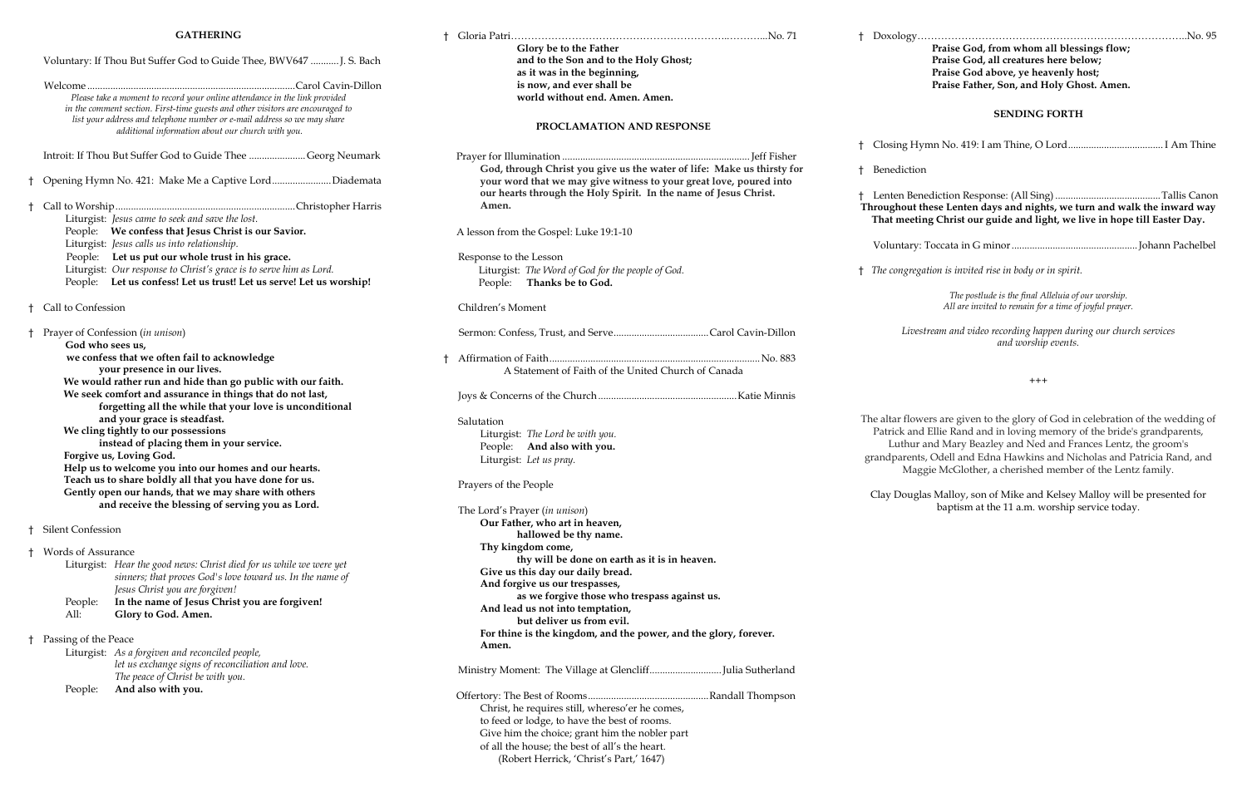### **GATHERING**

|  | <b>GATHERING</b>                                                                                                                                                    |                                                                                                                                     |  |                                                                                                                                        |  |
|--|---------------------------------------------------------------------------------------------------------------------------------------------------------------------|-------------------------------------------------------------------------------------------------------------------------------------|--|----------------------------------------------------------------------------------------------------------------------------------------|--|
|  | Voluntary: If Thou But Suffer God to Guide Thee, BWV647  J. S. Bach                                                                                                 |                                                                                                                                     |  | Glory be to the Father<br>and to the Son and to the Holy Ghost;                                                                        |  |
|  |                                                                                                                                                                     |                                                                                                                                     |  | as it was in the beginning,                                                                                                            |  |
|  |                                                                                                                                                                     |                                                                                                                                     |  | is now, and ever shall be                                                                                                              |  |
|  |                                                                                                                                                                     | Please take a moment to record your online attendance in the link provided                                                          |  | world without end. Amen. Amen.                                                                                                         |  |
|  |                                                                                                                                                                     | in the comment section. First-time guests and other visitors are encouraged to                                                      |  |                                                                                                                                        |  |
|  |                                                                                                                                                                     | list your address and telephone number or e-mail address so we may share                                                            |  |                                                                                                                                        |  |
|  |                                                                                                                                                                     | additional information about our church with you.                                                                                   |  | PROCLAMATION AND RESPONSE                                                                                                              |  |
|  |                                                                                                                                                                     | Introit: If Thou But Suffer God to Guide Thee Georg Neumark                                                                         |  |                                                                                                                                        |  |
|  |                                                                                                                                                                     |                                                                                                                                     |  | God, through Christ you give us the water of life: Make us thirsty for                                                                 |  |
|  |                                                                                                                                                                     | Opening Hymn No. 421: Make Me a Captive LordDiademata                                                                               |  | your word that we may give witness to your great love, poured into<br>our hearts through the Holy Spirit. In the name of Jesus Christ. |  |
|  |                                                                                                                                                                     |                                                                                                                                     |  | Amen.                                                                                                                                  |  |
|  |                                                                                                                                                                     | Liturgist: Jesus came to seek and save the lost.                                                                                    |  |                                                                                                                                        |  |
|  | People: We confess that Jesus Christ is our Savior.                                                                                                                 |                                                                                                                                     |  | A lesson from the Gospel: Luke 19:1-10                                                                                                 |  |
|  |                                                                                                                                                                     | Liturgist: Jesus calls us into relationship.                                                                                        |  |                                                                                                                                        |  |
|  | People: Let us put our whole trust in his grace.                                                                                                                    |                                                                                                                                     |  | Response to the Lesson                                                                                                                 |  |
|  | Liturgist: Our response to Christ's grace is to serve him as Lord.                                                                                                  |                                                                                                                                     |  | Liturgist: The Word of God for the people of God.                                                                                      |  |
|  | People: Let us confess! Let us trust! Let us serve! Let us worship!                                                                                                 |                                                                                                                                     |  | People: Thanks be to God.                                                                                                              |  |
|  | Call to Confession                                                                                                                                                  |                                                                                                                                     |  | Children's Moment                                                                                                                      |  |
|  | Prayer of Confession (in unison)<br>God who sees us,                                                                                                                |                                                                                                                                     |  |                                                                                                                                        |  |
|  | we confess that we often fail to acknowledge                                                                                                                        |                                                                                                                                     |  |                                                                                                                                        |  |
|  | your presence in our lives.                                                                                                                                         |                                                                                                                                     |  | A Statement of Faith of the United Church of Canada                                                                                    |  |
|  | We would rather run and hide than go public with our faith.                                                                                                         |                                                                                                                                     |  |                                                                                                                                        |  |
|  | We seek comfort and assurance in things that do not last,                                                                                                           |                                                                                                                                     |  |                                                                                                                                        |  |
|  |                                                                                                                                                                     | forgetting all the while that your love is unconditional                                                                            |  |                                                                                                                                        |  |
|  | and your grace is steadfast.<br>We cling tightly to our possessions<br>instead of placing them in your service.<br>Forgive us, Loving God.                          |                                                                                                                                     |  | Salutation                                                                                                                             |  |
|  |                                                                                                                                                                     |                                                                                                                                     |  | Liturgist: The Lord be with you.                                                                                                       |  |
|  |                                                                                                                                                                     |                                                                                                                                     |  | People: And also with you.                                                                                                             |  |
|  |                                                                                                                                                                     |                                                                                                                                     |  | Liturgist: Let us pray.                                                                                                                |  |
|  |                                                                                                                                                                     | Help us to welcome you into our homes and our hearts.                                                                               |  |                                                                                                                                        |  |
|  | Teach us to share boldly all that you have done for us.<br>Gently open our hands, that we may share with others<br>and receive the blessing of serving you as Lord. |                                                                                                                                     |  | Prayers of the People                                                                                                                  |  |
|  |                                                                                                                                                                     |                                                                                                                                     |  |                                                                                                                                        |  |
|  |                                                                                                                                                                     |                                                                                                                                     |  | The Lord's Prayer (in unison)                                                                                                          |  |
|  |                                                                                                                                                                     |                                                                                                                                     |  | Our Father, who art in heaven,                                                                                                         |  |
|  | Silent Confession                                                                                                                                                   |                                                                                                                                     |  | hallowed be thy name.                                                                                                                  |  |
|  |                                                                                                                                                                     |                                                                                                                                     |  | Thy kingdom come,                                                                                                                      |  |
|  | <b>Words of Assurance</b>                                                                                                                                           |                                                                                                                                     |  | thy will be done on earth as it is in heaven.                                                                                          |  |
|  |                                                                                                                                                                     | Liturgist: Hear the good news: Christ died for us while we were yet                                                                 |  | Give us this day our daily bread.                                                                                                      |  |
|  |                                                                                                                                                                     | sinners; that proves God's love toward us. In the name of                                                                           |  | And forgive us our trespasses,                                                                                                         |  |
|  |                                                                                                                                                                     | Jesus Christ you are forgiven!                                                                                                      |  | as we forgive those who trespass against us.                                                                                           |  |
|  | People:                                                                                                                                                             | In the name of Jesus Christ you are forgiven!                                                                                       |  | And lead us not into temptation,                                                                                                       |  |
|  | All:                                                                                                                                                                | Glory to God. Amen.                                                                                                                 |  | but deliver us from evil.                                                                                                              |  |
|  |                                                                                                                                                                     |                                                                                                                                     |  | For thine is the kingdom, and the power, and the glory, forever.                                                                       |  |
|  | Passing of the Peace                                                                                                                                                |                                                                                                                                     |  | Amen.                                                                                                                                  |  |
|  |                                                                                                                                                                     | Liturgist: As a forgiven and reconciled people,                                                                                     |  |                                                                                                                                        |  |
|  |                                                                                                                                                                     | let us exchange signs of reconciliation and love.<br>$T_{\rm tot}$ and $T_{\rm tot}$ of $C_{\rm tot}$ is the suite of $T_{\rm tot}$ |  | Ministry Moment: The Village at GlencliffJulia Sutherland                                                                              |  |

 *The peace of Christ be with you.* 

People: **And also with you.**

 Offertory: The Best of Rooms...............................................Randall Thompson Christ, he requires still, whereso'er he comes, to feed or lodge, to have the best of rooms. Give him the choice; grant him the nobler part of all the house; the best of all's the heart. (Robert Herrick, 'Christ's Part,' 1647)

**Praise God, from whom all blessings flow; Praise God, all creatures here below; Praise God above, ye heavenly host; Praise Father, Son, and Holy Ghost. Amen.**

#### **SENDING FORTH**

† Closing Hymn No. 419: I am Thine, O Lord..................................... I Am Thine

† Benediction

† Lenten Benediction Response: (All Sing).........................................Tallis Canon **Throughout these Lenten days and nights, we turn and walk the inward way That meeting Christ our guide and light, we live in hope till Easter Day.**

Voluntary: Toccata in G minor.................................................Johann Pachelbel

† *The congregation is invited rise in body or in spirit.*

*The postlude is the final Alleluia of our worship. All are invited to remain for a time of joyful prayer.* 

*Livestream and video recording happen during our church services and worship events.*

+++

The altar flowers are given to the glory of God in celebration of the wedding of Patrick and Ellie Rand and in loving memory of the bride's grandparents, Luthur and Mary Beazley and Ned and Frances Lentz, the groom's grandparents, Odell and Edna Hawkins and Nicholas and Patricia Rand, and Maggie McGlother, a cherished member of the Lentz family.

Clay Douglas Malloy, son of Mike and Kelsey Malloy will be presented for baptism at the 11 a.m. worship service today.